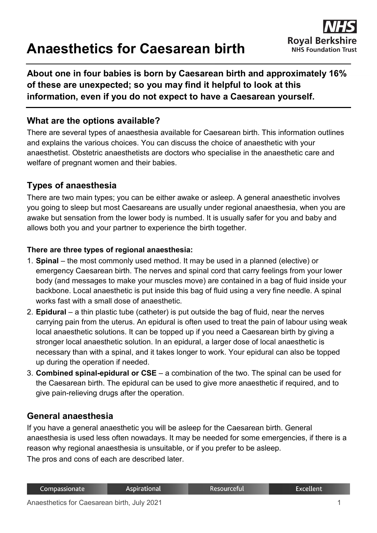# **Anaesthetics for Caesarean birth**



## **About one in four babies is born by Caesarean birth and approximately 16% of these are unexpected; so you may find it helpful to look at this information, even if you do not expect to have a Caesarean yourself.**

#### **What are the options available?**

There are several types of anaesthesia available for Caesarean birth. This information outlines and explains the various choices. You can discuss the choice of anaesthetic with your anaesthetist. Obstetric anaesthetists are doctors who specialise in the anaesthetic care and welfare of pregnant women and their babies.

#### **Types of anaesthesia**

There are two main types; you can be either awake or asleep. A general anaesthetic involves you going to sleep but most Caesareans are usually under regional anaesthesia, when you are awake but sensation from the lower body is numbed. It is usually safer for you and baby and allows both you and your partner to experience the birth together.

#### **There are three types of regional anaesthesia:**

- 1. **Spinal** the most commonly used method. It may be used in a planned (elective) or emergency Caesarean birth. The nerves and spinal cord that carry feelings from your lower body (and messages to make your muscles move) are contained in a bag of fluid inside your backbone. Local anaesthetic is put inside this bag of fluid using a very fine needle. A spinal works fast with a small dose of anaesthetic.
- 2. **Epidural** a thin plastic tube (catheter) is put outside the bag of fluid, near the nerves carrying pain from the uterus. An epidural is often used to treat the pain of labour using weak local anaesthetic solutions. It can be topped up if you need a Caesarean birth by giving a stronger local anaesthetic solution. In an epidural, a larger dose of local anaesthetic is necessary than with a spinal, and it takes longer to work. Your epidural can also be topped up during the operation if needed.
- 3. **Combined spinal-epidural or CSE** a combination of the two. The spinal can be used for the Caesarean birth. The epidural can be used to give more anaesthetic if required, and to give pain-relieving drugs after the operation.

#### **General anaesthesia**

If you have a general anaesthetic you will be asleep for the Caesarean birth. General anaesthesia is used less often nowadays. It may be needed for some emergencies, if there is a reason why regional anaesthesia is unsuitable, or if you prefer to be asleep.

The pros and cons of each are described later.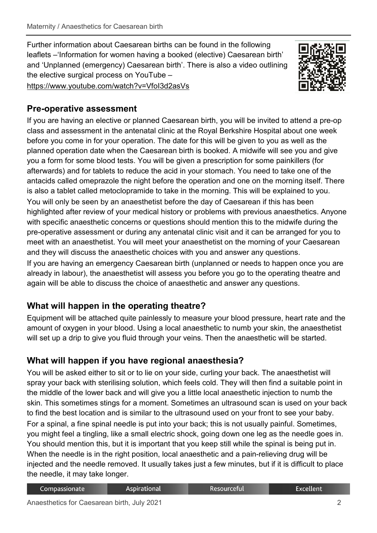Further information about Caesarean births can be found in the following leaflets –'Information for women having a booked (elective) Caesarean birth' and 'Unplanned (emergency) Caesarean birth'. There is also a video outlining the elective surgical process on YouTube – <https://www.youtube.com/watch?v=VfoI3d2asVs>



#### **Pre-operative assessment**

If you are having an elective or planned Caesarean birth, you will be invited to attend a pre-op class and assessment in the antenatal clinic at the Royal Berkshire Hospital about one week before you come in for your operation. The date for this will be given to you as well as the planned operation date when the Caesarean birth is booked. A midwife will see you and give you a form for some blood tests. You will be given a prescription for some painkillers (for afterwards) and for tablets to reduce the acid in your stomach. You need to take one of the antacids called omeprazole the night before the operation and one on the morning itself. There is also a tablet called metoclopramide to take in the morning. This will be explained to you. You will only be seen by an anaesthetist before the day of Caesarean if this has been highlighted after review of your medical history or problems with previous anaesthetics. Anyone with specific anaesthetic concerns or questions should mention this to the midwife during the pre-operative assessment or during any antenatal clinic visit and it can be arranged for you to meet with an anaesthetist. You will meet your anaesthetist on the morning of your Caesarean and they will discuss the anaesthetic choices with you and answer any questions.

If you are having an emergency Caesarean birth (unplanned or needs to happen once you are already in labour), the anaesthetist will assess you before you go to the operating theatre and again will be able to discuss the choice of anaesthetic and answer any questions.

### **What will happen in the operating theatre?**

Equipment will be attached quite painlessly to measure your blood pressure, heart rate and the amount of oxygen in your blood. Using a local anaesthetic to numb your skin, the anaesthetist will set up a drip to give you fluid through your veins. Then the anaesthetic will be started.

### **What will happen if you have regional anaesthesia?**

You will be asked either to sit or to lie on your side, curling your back. The anaesthetist will spray your back with sterilising solution, which feels cold. They will then find a suitable point in the middle of the lower back and will give you a little local anaesthetic injection to numb the skin. This sometimes stings for a moment. Sometimes an ultrasound scan is used on your back to find the best location and is similar to the ultrasound used on your front to see your baby. For a spinal, a fine spinal needle is put into your back; this is not usually painful. Sometimes, you might feel a tingling, like a small electric shock, going down one leg as the needle goes in. You should mention this, but it is important that you keep still while the spinal is being put in. When the needle is in the right position, local anaesthetic and a pain-relieving drug will be injected and the needle removed. It usually takes just a few minutes, but if it is difficult to place the needle, it may take longer.

| Compassionate | <b>Aspirational</b> | Resourceful <sup>'</sup> | Excellent |
|---------------|---------------------|--------------------------|-----------|
|---------------|---------------------|--------------------------|-----------|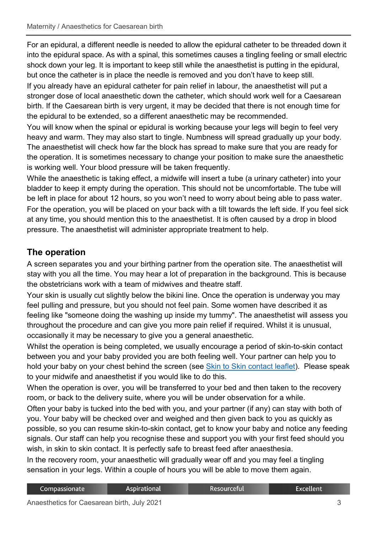For an epidural, a different needle is needed to allow the epidural catheter to be threaded down it into the epidural space. As with a spinal, this sometimes causes a tingling feeling or small electric shock down your leg. It is important to keep still while the anaesthetist is putting in the epidural, but once the catheter is in place the needle is removed and you don't have to keep still.

If you already have an epidural catheter for pain relief in labour, the anaesthetist will put a stronger dose of local anaesthetic down the catheter, which should work well for a Caesarean birth. If the Caesarean birth is very urgent, it may be decided that there is not enough time for the epidural to be extended, so a different anaesthetic may be recommended.

You will know when the spinal or epidural is working because your legs will begin to feel very heavy and warm. They may also start to tingle. Numbness will spread gradually up your body. The anaesthetist will check how far the block has spread to make sure that you are ready for the operation. It is sometimes necessary to change your position to make sure the anaesthetic is working well. Your blood pressure will be taken frequently.

While the anaesthetic is taking effect, a midwife will insert a tube (a urinary catheter) into your bladder to keep it empty during the operation. This should not be uncomfortable. The tube will be left in place for about 12 hours, so you won't need to worry about being able to pass water. For the operation, you will be placed on your back with a tilt towards the left side. If you feel sick at any time, you should mention this to the anaesthetist. It is often caused by a drop in blood pressure. The anaesthetist will administer appropriate treatment to help.

# **The operation**

A screen separates you and your birthing partner from the operation site. The anaesthetist will stay with you all the time. You may hear a lot of preparation in the background. This is because the obstetricians work with a team of midwives and theatre staff.

Your skin is usually cut slightly below the bikini line. Once the operation is underway you may feel pulling and pressure, but you should not feel pain. Some women have described it as feeling like "someone doing the washing up inside my tummy". The anaesthetist will assess you throughout the procedure and can give you more pain relief if required. Whilst it is unusual, occasionally it may be necessary to give you a general anaesthetic.

Whilst the operation is being completed, we usually encourage a period of skin-to-skin contact between you and your baby provided you are both feeling well. Your partner can help you to hold your baby on your chest behind the screen (see [Skin to Skin contact leaflet\)](https://www.royalberkshire.nhs.uk/patient-information-leaflets/maternity---IFT-skin-to-skin-contact.htm). Please speak to your midwife and anaesthetist if you would like to do this.

When the operation is over, you will be transferred to your bed and then taken to the recovery room, or back to the delivery suite, where you will be under observation for a while.

Often your baby is tucked into the bed with you, and your partner (if any) can stay with both of you. Your baby will be checked over and weighed and then given back to you as quickly as possible, so you can resume skin-to-skin contact, get to know your baby and notice any feeding signals. Our staff can help you recognise these and support you with your first feed should you wish, in skin to skin contact. It is perfectly safe to breast feed after anaesthesia.

In the recovery room, your anaesthetic will gradually wear off and you may feel a tingling sensation in your legs. Within a couple of hours you will be able to move them again.

| Compassionate | Aspirational | Resourceful | <b>Excellent</b> |
|---------------|--------------|-------------|------------------|
|               |              |             |                  |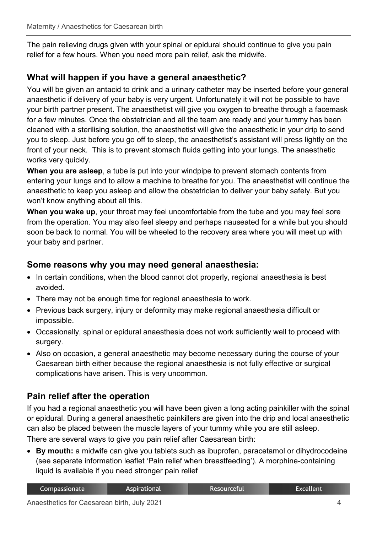The pain relieving drugs given with your spinal or epidural should continue to give you pain relief for a few hours. When you need more pain relief, ask the midwife.

#### **What will happen if you have a general anaesthetic?**

You will be given an antacid to drink and a urinary catheter may be inserted before your general anaesthetic if delivery of your baby is very urgent. Unfortunately it will not be possible to have your birth partner present. The anaesthetist will give you oxygen to breathe through a facemask for a few minutes. Once the obstetrician and all the team are ready and your tummy has been cleaned with a sterilising solution, the anaesthetist will give the anaesthetic in your drip to send you to sleep. Just before you go off to sleep, the anaesthetist's assistant will press lightly on the front of your neck. This is to prevent stomach fluids getting into your lungs. The anaesthetic works very quickly.

**When you are asleep**, a tube is put into your windpipe to prevent stomach contents from entering your lungs and to allow a machine to breathe for you. The anaesthetist will continue the anaesthetic to keep you asleep and allow the obstetrician to deliver your baby safely. But you won't know anything about all this.

**When you wake up**, your throat may feel uncomfortable from the tube and you may feel sore from the operation. You may also feel sleepy and perhaps nauseated for a while but you should soon be back to normal. You will be wheeled to the recovery area where you will meet up with your baby and partner.

#### **Some reasons why you may need general anaesthesia:**

- In certain conditions, when the blood cannot clot properly, regional anaesthesia is best avoided.
- There may not be enough time for regional anaesthesia to work.
- Previous back surgery, injury or deformity may make regional anaesthesia difficult or impossible.
- Occasionally, spinal or epidural anaesthesia does not work sufficiently well to proceed with surgery.
- Also on occasion, a general anaesthetic may become necessary during the course of your Caesarean birth either because the regional anaesthesia is not fully effective or surgical complications have arisen. This is very uncommon.

### **Pain relief after the operation**

If you had a regional anaesthetic you will have been given a long acting painkiller with the spinal or epidural. During a general anaesthetic painkillers are given into the drip and local anaesthetic can also be placed between the muscle layers of your tummy while you are still asleep. There are several ways to give you pain relief after Caesarean birth:

• **By mouth:** a midwife can give you tablets such as ibuprofen, paracetamol or dihydrocodeine (see separate information leaflet 'Pain relief when breastfeeding'). A morphine-containing liquid is available if you need stronger pain relief

| Compassionate | Aspirational | Resourceful | Excellent |
|---------------|--------------|-------------|-----------|
|               |              |             |           |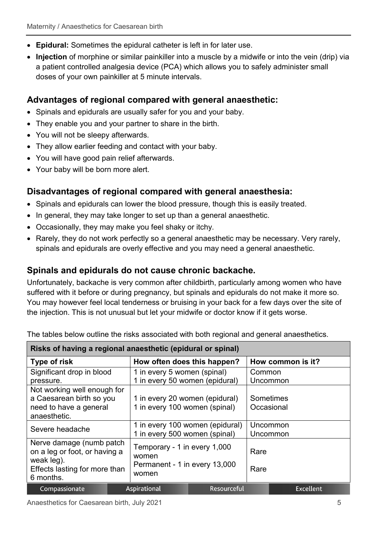- **Epidural:** Sometimes the epidural catheter is left in for later use.
- **Injection** of morphine or similar painkiller into a muscle by a midwife or into the vein (drip) via a patient controlled analgesia device (PCA) which allows you to safely administer small doses of your own painkiller at 5 minute intervals.

#### **Advantages of regional compared with general anaesthetic:**

- Spinals and epidurals are usually safer for you and your baby.
- They enable you and your partner to share in the birth.
- You will not be sleepy afterwards.
- They allow earlier feeding and contact with your baby.
- You will have good pain relief afterwards.
- Your baby will be born more alert.

#### **Disadvantages of regional compared with general anaesthesia:**

- Spinals and epidurals can lower the blood pressure, though this is easily treated.
- In general, they may take longer to set up than a general anaesthetic.
- Occasionally, they may make you feel shaky or itchy.
- Rarely, they do not work perfectly so a general anaesthetic may be necessary. Very rarely, spinals and epidurals are overly effective and you may need a general anaesthetic.

### **Spinals and epidurals do not cause chronic backache.**

Unfortunately, backache is very common after childbirth, particularly among women who have suffered with it before or during pregnancy, but spinals and epidurals do not make it more so. You may however feel local tenderness or bruising in your back for a few days over the site of the injection. This is not unusual but let your midwife or doctor know if it gets worse.

| Risks of having a regional anaesthetic (epidural or spinal)                                                           |  |                                                                                 |                                            |              |                   |
|-----------------------------------------------------------------------------------------------------------------------|--|---------------------------------------------------------------------------------|--------------------------------------------|--------------|-------------------|
| Type of risk                                                                                                          |  |                                                                                 | How often does this happen?                |              | How common is it? |
| Significant drop in blood                                                                                             |  | 1 in every 5 women (spinal)                                                     |                                            | Common       |                   |
| pressure.                                                                                                             |  |                                                                                 | 1 in every 50 women (epidural)<br>Uncommon |              |                   |
| Not working well enough for                                                                                           |  |                                                                                 |                                            |              |                   |
| a Caesarean birth so you                                                                                              |  | 1 in every 20 women (epidural)                                                  |                                            |              | Sometimes         |
| need to have a general                                                                                                |  | 1 in every 100 women (spinal)<br>Occasional                                     |                                            |              |                   |
| anaesthetic.                                                                                                          |  |                                                                                 |                                            |              |                   |
| Severe headache                                                                                                       |  | 1 in every 100 women (epidural)                                                 |                                            | Uncommon     |                   |
|                                                                                                                       |  | 1 in every 500 women (spinal)                                                   |                                            | Uncommon     |                   |
| Nerve damage (numb patch<br>on a leg or foot, or having a<br>weak leg).<br>Effects lasting for more than<br>6 months. |  | Temporary - 1 in every 1,000<br>women<br>Permanent - 1 in every 13,000<br>women |                                            | Rare<br>Rare |                   |
| Compassionate                                                                                                         |  | Resourceful<br><b>Aspirational</b>                                              |                                            |              | Excellent         |

The tables below outline the risks associated with both regional and general anaesthetics.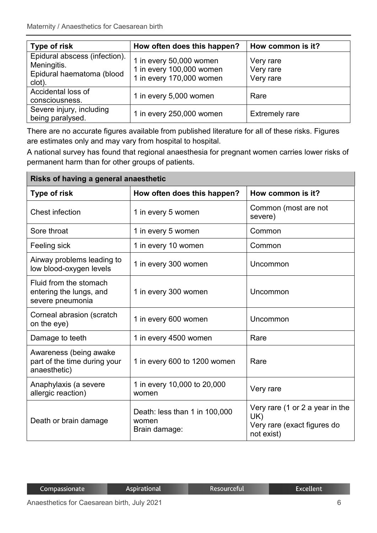| Type of risk                                                                        | How often does this happen?                                                     | How common is it?                   |
|-------------------------------------------------------------------------------------|---------------------------------------------------------------------------------|-------------------------------------|
| Epidural abscess (infection).<br>Meningitis.<br>Epidural haematoma (blood<br>clot). | 1 in every 50,000 women<br>1 in every 100,000 women<br>1 in every 170,000 women | Very rare<br>Very rare<br>Very rare |
| Accidental loss of<br>consciousness.                                                | 1 in every 5,000 women                                                          | Rare                                |
| Severe injury, including<br>being paralysed.                                        | 1 in every 250,000 women                                                        | <b>Extremely rare</b>               |

There are no accurate figures available from published literature for all of these risks. Figures are estimates only and may vary from hospital to hospital.

A national survey has found that regional anaesthesia for pregnant women carries lower risks of permanent harm than for other groups of patients.

| Risks of having a general anaesthetic                                  |                                                         |                                                                                     |  |
|------------------------------------------------------------------------|---------------------------------------------------------|-------------------------------------------------------------------------------------|--|
| <b>Type of risk</b>                                                    | How often does this happen?                             | How common is it?                                                                   |  |
| <b>Chest infection</b>                                                 | 1 in every 5 women                                      | Common (most are not<br>severe)                                                     |  |
| Sore throat                                                            | 1 in every 5 women                                      | Common                                                                              |  |
| Feeling sick                                                           | 1 in every 10 women                                     | Common                                                                              |  |
| Airway problems leading to<br>low blood-oxygen levels                  | 1 in every 300 women                                    | Uncommon                                                                            |  |
| Fluid from the stomach<br>entering the lungs, and<br>severe pneumonia  | 1 in every 300 women                                    | Uncommon                                                                            |  |
| Corneal abrasion (scratch<br>on the eye)                               | 1 in every 600 women                                    | Uncommon                                                                            |  |
| Damage to teeth                                                        | 1 in every 4500 women                                   | Rare                                                                                |  |
| Awareness (being awake<br>part of the time during your<br>anaesthetic) | 1 in every 600 to 1200 women                            | Rare                                                                                |  |
| Anaphylaxis (a severe<br>allergic reaction)                            | 1 in every 10,000 to 20,000<br>women                    | Very rare                                                                           |  |
| Death or brain damage                                                  | Death: less than 1 in 100,000<br>women<br>Brain damage: | Very rare (1 or 2 a year in the<br>UK)<br>Very rare (exact figures do<br>not exist) |  |